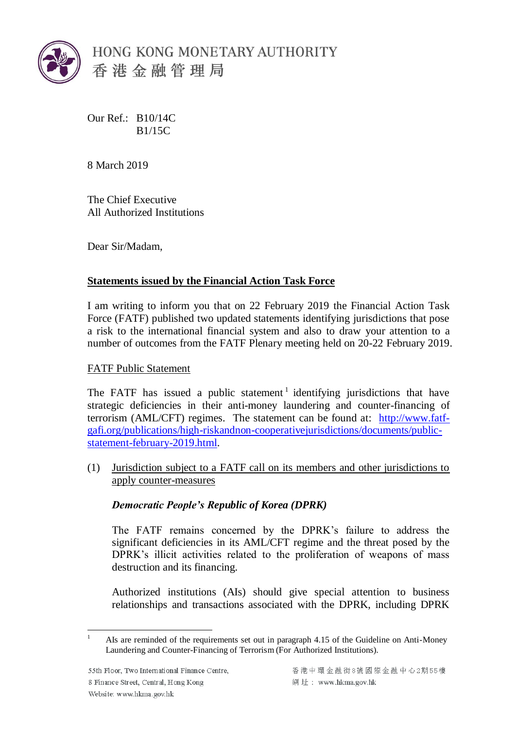

Our Ref.: B10/14C B1/15C

8 March 2019

The Chief Executive All Authorized Institutions

Dear Sir/Madam,

# **Statements issued by the Financial Action Task Force**

I am writing to inform you that on 22 February 2019 the Financial Action Task Force (FATF) published two updated statements identifying jurisdictions that pose a risk to the international financial system and also to draw your attention to a number of outcomes from the FATF Plenary meeting held on 20-22 February 2019.

## FATF Public Statement

The FATF has issued a public statement<sup>1</sup> identifying jurisdictions that have strategic deficiencies in their anti-money laundering and counter-financing of terrorism (AML/CFT) regimes. The statement can be found at: [http://www.fatf](http://www.fatf-gafi.org/publications/high-riskandnon-cooperativejurisdictions/documents/public-statement-february-2019.html)[gafi.org/publications/high-riskandnon-cooperativejurisdictions/documents/public](http://www.fatf-gafi.org/publications/high-riskandnon-cooperativejurisdictions/documents/public-statement-february-2019.html)[statement-february-2019.html.](http://www.fatf-gafi.org/publications/high-riskandnon-cooperativejurisdictions/documents/public-statement-february-2019.html)

(1) Jurisdiction subject to a FATF call on its members and other jurisdictions to apply counter-measures

## *Democratic People's Republic of Korea (DPRK)*

The FATF remains concerned by the DPRK's failure to address the significant deficiencies in its AML/CFT regime and the threat posed by the DPRK's illicit activities related to the proliferation of weapons of mass destruction and its financing.

Authorized institutions (AIs) should give special attention to business relationships and transactions associated with the DPRK, including DPRK

<sup>&</sup>lt;u>.</u> <sup>1</sup> AIs are reminded of the requirements set out in paragraph 4.15 of the Guideline on Anti-Money Laundering and Counter-Financing of Terrorism (For Authorized Institutions).